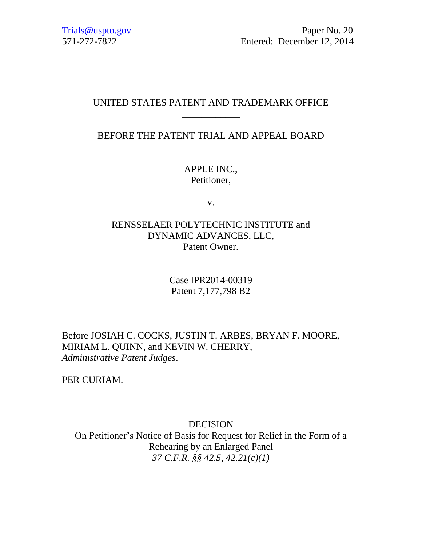# UNITED STATES PATENT AND TRADEMARK OFFICE \_\_\_\_\_\_\_\_\_\_\_\_

BEFORE THE PATENT TRIAL AND APPEAL BOARD \_\_\_\_\_\_\_\_\_\_\_\_

> APPLE INC., Petitioner,

> > v.

RENSSELAER POLYTECHNIC INSTITUTE and DYNAMIC ADVANCES, LLC, Patent Owner.

> Case IPR2014-00319 Patent 7,177,798 B2

Before JOSIAH C. COCKS, JUSTIN T. ARBES, BRYAN F. MOORE, MIRIAM L. QUINN, and KEVIN W. CHERRY, *Administrative Patent Judges*.

PER CURIAM.

DECISION On Petitioner's Notice of Basis for Request for Relief in the Form of a Rehearing by an Enlarged Panel *37 C.F.R. §§ 42.5, 42.21(c)(1)*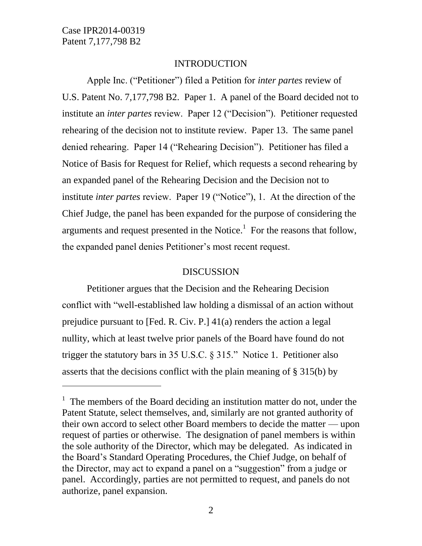$\overline{a}$ 

## INTRODUCTION

Apple Inc. ("Petitioner") filed a Petition for *inter partes* review of U.S. Patent No. 7,177,798 B2. Paper 1. A panel of the Board decided not to institute an *inter partes* review. Paper 12 ("Decision"). Petitioner requested rehearing of the decision not to institute review. Paper 13. The same panel denied rehearing. Paper 14 ("Rehearing Decision"). Petitioner has filed a Notice of Basis for Request for Relief, which requests a second rehearing by an expanded panel of the Rehearing Decision and the Decision not to institute *inter partes* review. Paper 19 ("Notice"), 1. At the direction of the Chief Judge, the panel has been expanded for the purpose of considering the arguments and request presented in the Notice. $<sup>1</sup>$  For the reasons that follow,</sup> the expanded panel denies Petitioner's most recent request.

#### DISCUSSION

Petitioner argues that the Decision and the Rehearing Decision conflict with "well-established law holding a dismissal of an action without prejudice pursuant to [Fed. R. Civ. P.] 41(a) renders the action a legal nullity, which at least twelve prior panels of the Board have found do not trigger the statutory bars in 35 U.S.C. § 315." Notice 1. Petitioner also asserts that the decisions conflict with the plain meaning of § 315(b) by

<sup>&</sup>lt;sup>1</sup> The members of the Board deciding an institution matter do not, under the Patent Statute, select themselves, and, similarly are not granted authority of their own accord to select other Board members to decide the matter — upon request of parties or otherwise. The designation of panel members is within the sole authority of the Director, which may be delegated. As indicated in the Board's Standard Operating Procedures, the Chief Judge, on behalf of the Director, may act to expand a panel on a "suggestion" from a judge or panel. Accordingly, parties are not permitted to request, and panels do not authorize, panel expansion.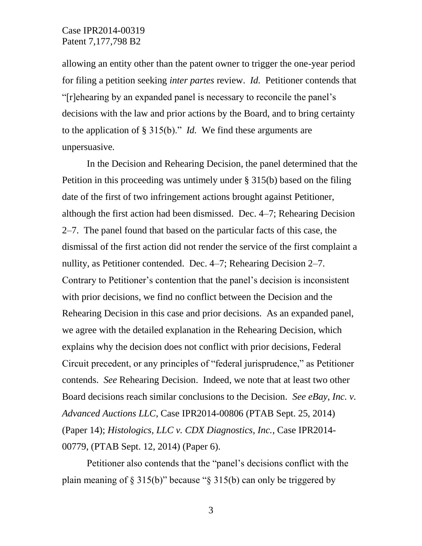## Case IPR2014-00319 Patent 7,177,798 B2

allowing an entity other than the patent owner to trigger the one-year period for filing a petition seeking *inter partes* review. *Id.* Petitioner contends that "[r]ehearing by an expanded panel is necessary to reconcile the panel's decisions with the law and prior actions by the Board, and to bring certainty to the application of § 315(b)." *Id.* We find these arguments are unpersuasive*.*

In the Decision and Rehearing Decision, the panel determined that the Petition in this proceeding was untimely under § 315(b) based on the filing date of the first of two infringement actions brought against Petitioner, although the first action had been dismissed. Dec. 4–7; Rehearing Decision 2–7. The panel found that based on the particular facts of this case, the dismissal of the first action did not render the service of the first complaint a nullity, as Petitioner contended. Dec. 4–7; Rehearing Decision 2–7. Contrary to Petitioner's contention that the panel's decision is inconsistent with prior decisions, we find no conflict between the Decision and the Rehearing Decision in this case and prior decisions. As an expanded panel, we agree with the detailed explanation in the Rehearing Decision, which explains why the decision does not conflict with prior decisions, Federal Circuit precedent, or any principles of "federal jurisprudence," as Petitioner contends. *See* Rehearing Decision. Indeed, we note that at least two other Board decisions reach similar conclusions to the Decision. *See eBay, Inc. v. Advanced Auctions LLC*, Case IPR2014-00806 (PTAB Sept. 25, 2014) (Paper 14); *Histologics, LLC v. CDX Diagnostics, Inc.*, Case IPR2014- 00779, (PTAB Sept. 12, 2014) (Paper 6).

Petitioner also contends that the "panel's decisions conflict with the plain meaning of  $\S$  315(b)" because " $\S$  315(b) can only be triggered by

3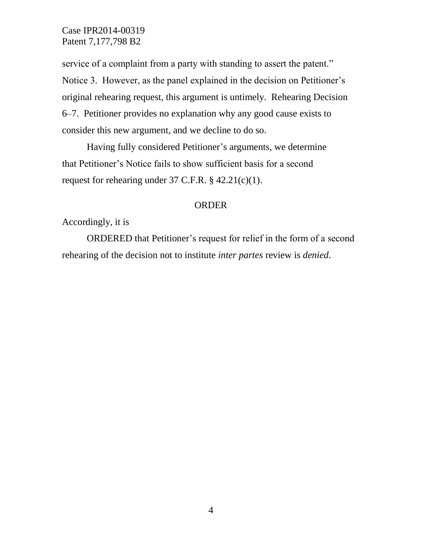Case IPR2014-00319 Patent 7,177,798 B2

service of a complaint from a party with standing to assert the patent." Notice 3. However, as the panel explained in the decision on Petitioner's original rehearing request, this argument is untimely. Rehearing Decision 6–7. Petitioner provides no explanation why any good cause exists to consider this new argument, and we decline to do so.

Having fully considered Petitioner's arguments, we determine that Petitioner's Notice fails to show sufficient basis for a second request for rehearing under 37 C.F.R. § 42.21(c)(1).

### ORDER

Accordingly, it is

ORDERED that Petitioner's request for relief in the form of a second rehearing of the decision not to institute *inter partes* review is *denied*.